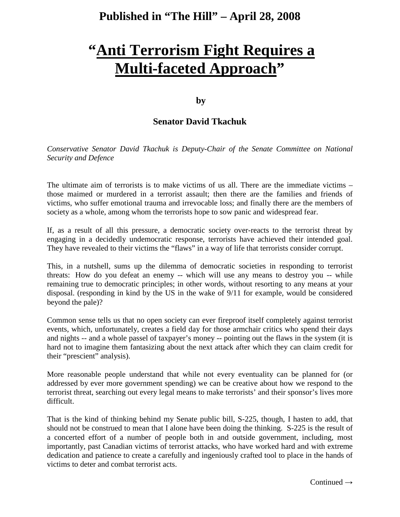## **Published in "The Hill" – April 28, 2008**

## **"Anti Terrorism Fight Requires a Multi-faceted Approach"**

## **by**

## **Senator David Tkachuk**

*Conservative Senator David Tkachuk is Deputy-Chair of the Senate Committee on National Security and Defence*

The ultimate aim of terrorists is to make victims of us all. There are the immediate victims – those maimed or murdered in a terrorist assault; then there are the families and friends of victims, who suffer emotional trauma and irrevocable loss; and finally there are the members of society as a whole, among whom the terrorists hope to sow panic and widespread fear.

If, as a result of all this pressure, a democratic society over-reacts to the terrorist threat by engaging in a decidedly undemocratic response, terrorists have achieved their intended goal. They have revealed to their victims the "flaws" in a way of life that terrorists consider corrupt.

This, in a nutshell, sums up the dilemma of democratic societies in responding to terrorist threats: How do you defeat an enemy -- which will use any means to destroy you -- while remaining true to democratic principles; in other words, without resorting to any means at your disposal. (responding in kind by the US in the wake of 9/11 for example, would be considered beyond the pale)?

Common sense tells us that no open society can ever fireproof itself completely against terrorist events, which, unfortunately, creates a field day for those armchair critics who spend their days and nights -- and a whole passel of taxpayer's money -- pointing out the flaws in the system (it is hard not to imagine them fantasizing about the next attack after which they can claim credit for their "prescient" analysis).

More reasonable people understand that while not every eventuality can be planned for (or addressed by ever more government spending) we can be creative about how we respond to the terrorist threat, searching out every legal means to make terrorists' and their sponsor's lives more difficult.

That is the kind of thinking behind my Senate public bill, S-225, though, I hasten to add, that should not be construed to mean that I alone have been doing the thinking. S-225 is the result of a concerted effort of a number of people both in and outside government, including, most importantly, past Canadian victims of terrorist attacks, who have worked hard and with extreme dedication and patience to create a carefully and ingeniously crafted tool to place in the hands of victims to deter and combat terrorist acts.